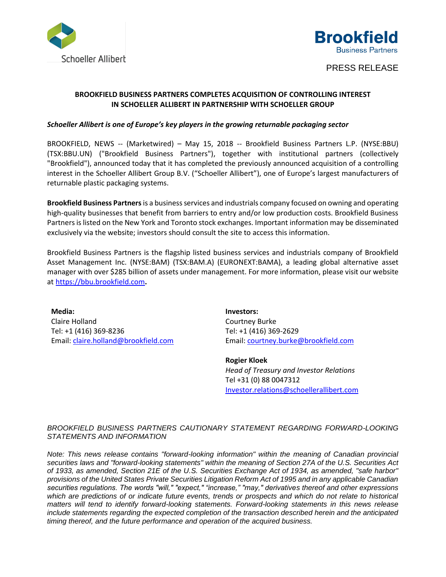



## PRESS RELEASE

## **BROOKFIELD BUSINESS PARTNERS COMPLETES ACQUISITION OF CONTROLLING INTEREST IN SCHOELLER ALLIBERT IN PARTNERSHIP WITH SCHOELLER GROUP**

## *Schoeller Allibert is one of Europe's key players in the growing returnable packaging sector*

BROOKFIELD, NEWS -- (Marketwired) – May 15, 2018 -- Brookfield Business Partners L.P. (NYSE:BBU) (TSX:BBU.UN) ("Brookfield Business Partners"), together with institutional partners (collectively "Brookfield"), announced today that it has completed the previously announced acquisition of a controlling interest in the Schoeller Allibert Group B.V. ("Schoeller Allibert"), one of Europe's largest manufacturers of returnable plastic packaging systems.

Brookfield Business Partners is a business services and industrials company focused on owning and operating high-quality businesses that benefit from barriers to entry and/or low production costs. Brookfield Business Partners is listed on the New York and Toronto stock exchanges. Important information may be disseminated exclusively via the website; investors should consult the site to access this information.

Brookfield Business Partners is the flagship listed business services and industrials company of Brookfield Asset Management Inc. (NYSE:BAM) (TSX:BAM.A) (EURONEXT:BAMA), a leading global alternative asset manager with over \$285 billion of assets under management. For more information, please visit our website at [https://bbu.brookfield.com](https://www.globenewswire.com/Tracker?data=P3SHORDmyxyoY87gvNgnxmU-n20eycWd0yxgX7Moa_akb-9fa6iKr88nEvPRiJ1Azh7H8HLsmXnSuQIO-gWuG1RLM_w6E07YSohhHluQQX0=)**.**

**Media:** Claire Holland Tel: +1 (416) 369-8236 Email: [claire.holland@brookfield.com](mailto:claire.holland@brookfield.com) **Investors:** Courtney Burke Tel: +1 (416) 369-2629 Email[: courtney.burke@brookfield.com](mailto:courtney.burke@brookfield.com)

**Rogier Kloek**  *Head of Treasury and Investor Relations* Tel +31 (0) 88 0047312 [Investor.relations@schoellerallibert.com](mailto:Investor.relations@schoellerallibert.com)

## *BROOKFIELD BUSINESS PARTNERS CAUTIONARY STATEMENT REGARDING FORWARD-LOOKING STATEMENTS AND INFORMATION*

*Note: This news release contains "forward-looking information" within the meaning of Canadian provincial securities laws and "forward-looking statements" within the meaning of Section 27A of the U.S. Securities Act of 1933, as amended, Section 21E of the U.S. Securities Exchange Act of 1934, as amended, "safe harbor" provisions of the United States Private Securities Litigation Reform Act of 1995 and in any applicable Canadian securities regulations. The words "will," "expect," "increase," "may," derivatives thereof and other expressions*  which are predictions of or indicate future events, trends or prospects and which do not relate to historical *matters will tend to identify forward-looking statements. Forward-looking statements in this news release include statements regarding the expected completion of the transaction described herein and the anticipated timing thereof, and the future performance and operation of the acquired business.*